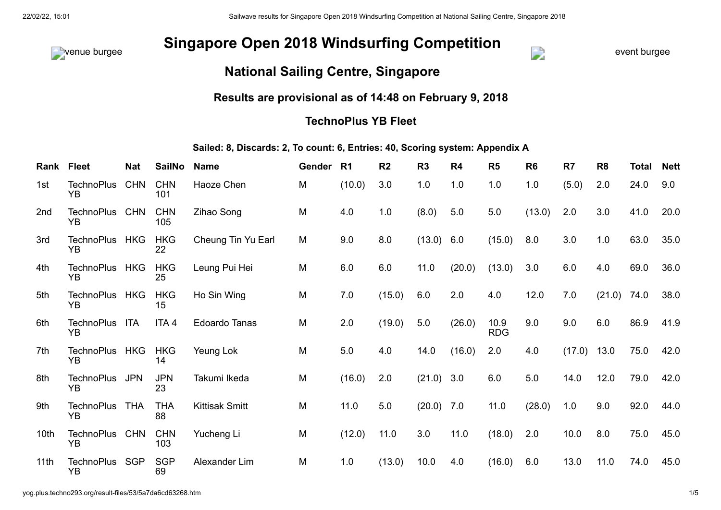

## venue burgee event burgee **Singapore Open 2018 Windsurfing Competition**



## **National Sailing Centre, Singapore**

## **Results are provisional as of 14:48 on February 9, 2018**

## **TechnoPlus YB Fleet**

**Sailed: 8, Discards: 2, To count: 6, Entries: 40, Scoring system: Appendix A**

| Rank Fleet       |                         | <b>Nat</b> | <b>SailNo</b>     | <b>Name</b>           | Gender | R1     | R <sub>2</sub> | R <sub>3</sub> | R <sub>4</sub> | R <sub>5</sub>     | R <sub>6</sub> | R7            | R <sub>8</sub> | <b>Total</b> | <b>Nett</b> |
|------------------|-------------------------|------------|-------------------|-----------------------|--------|--------|----------------|----------------|----------------|--------------------|----------------|---------------|----------------|--------------|-------------|
| 1st              | <b>TechnoPlus</b><br>YB | <b>CHN</b> | <b>CHN</b><br>101 | Haoze Chen            | M      | (10.0) | 3.0            | 1.0            | 1.0            | 1.0                | 1.0            | (5.0)         | 2.0            | 24.0         | 9.0         |
| 2 <sub>nd</sub>  | <b>TechnoPlus</b><br>YΒ | <b>CHN</b> | <b>CHN</b><br>105 | Zihao Song            | M      | 4.0    | 1.0            | (8.0)          | 5.0            | 5.0                | (13.0)         | 2.0           | 3.0            | 41.0         | 20.0        |
| 3rd              | TechnoPlus HKG<br>YB    |            | <b>HKG</b><br>22  | Cheung Tin Yu Earl    | M      | 9.0    | 8.0            | $(13.0)$ 6.0   |                | (15.0)             | 8.0            | 3.0           | 1.0            | 63.0         | 35.0        |
| 4th              | TechnoPlus HKG<br>YB    |            | <b>HKG</b><br>25  | Leung Pui Hei         | M      | 6.0    | 6.0            | 11.0           | (20.0)         | (13.0)             | 3.0            | 6.0           | 4.0            | 69.0         | 36.0        |
| 5th              | <b>TechnoPlus</b><br>YB | <b>HKG</b> | <b>HKG</b><br>15  | Ho Sin Wing           | M      | 7.0    | (15.0)         | 6.0            | 2.0            | 4.0                | 12.0           | 7.0           | (21.0)         | 74.0         | 38.0        |
| 6th              | <b>TechnoPlus</b><br>YR | <b>ITA</b> | ITA <sub>4</sub>  | <b>Edoardo Tanas</b>  | M      | 2.0    | (19.0)         | 5.0            | (26.0)         | 10.9<br><b>RDG</b> | 9.0            | 9.0           | 6.0            | 86.9         | 41.9        |
| 7th              | TechnoPlus HKG<br>YB    |            | <b>HKG</b><br>14  | Yeung Lok             | M      | 5.0    | 4.0            | 14.0           | (16.0)         | 2.0                | 4.0            | $(17.0)$ 13.0 |                | 75.0         | 42.0        |
| 8th              | <b>TechnoPlus</b><br>YΒ | <b>JPN</b> | <b>JPN</b><br>23  | Takumi Ikeda          | M      | (16.0) | 2.0            | $(21.0)$ 3.0   |                | 6.0                | 5.0            | 14.0          | 12.0           | 79.0         | 42.0        |
| 9th              | <b>TechnoPlus</b><br>YB | THA        | <b>THA</b><br>88  | <b>Kittisak Smitt</b> | M      | 11.0   | 5.0            | $(20.0)$ 7.0   |                | 11.0               | (28.0)         | 1.0           | 9.0            | 92.0         | 44.0        |
| 10 <sub>th</sub> | TechnoPlus CHN<br>YΒ    |            | <b>CHN</b><br>103 | Yucheng Li            | M      | (12.0) | 11.0           | 3.0            | 11.0           | (18.0)             | 2.0            | 10.0          | 8.0            | 75.0         | 45.0        |
| 11 <sub>th</sub> | TechnoPlus SGP<br>YB    |            | <b>SGP</b><br>69  | Alexander Lim         | M      | 1.0    | (13.0)         | 10.0           | 4.0            | (16.0)             | 6.0            | 13.0          | 11.0           | 74.0         | 45.0        |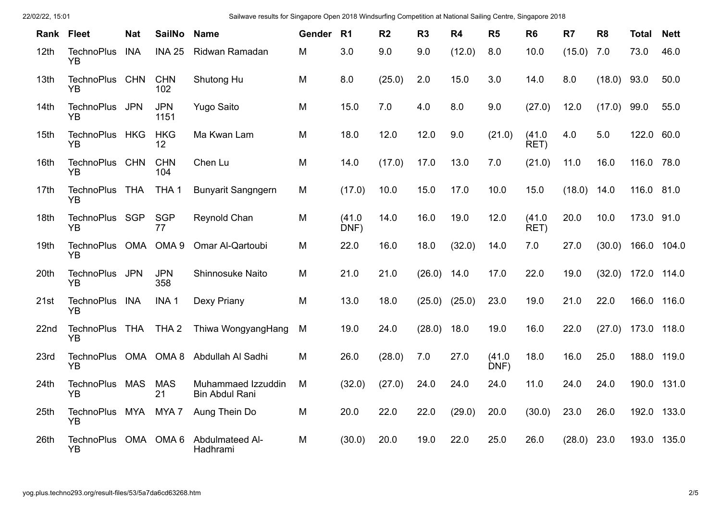| Rank | <b>Fleet</b>                   | <b>Nat</b> | <b>SailNo</b>      | <b>Name</b>                                 | Gender | R1             | R <sub>2</sub> | R <sub>3</sub> | R <sub>4</sub> | R <sub>5</sub> | R <sub>6</sub> | R7     | R <sub>8</sub> | <b>Total</b> | <b>Nett</b> |
|------|--------------------------------|------------|--------------------|---------------------------------------------|--------|----------------|----------------|----------------|----------------|----------------|----------------|--------|----------------|--------------|-------------|
|      |                                |            |                    |                                             |        |                |                |                |                |                |                |        |                |              |             |
| 12th | <b>TechnoPlus</b><br><b>YB</b> | <b>INA</b> | <b>INA 25</b>      | Ridwan Ramadan                              | M      | 3.0            | 9.0            | 9.0            | (12.0)         | 8.0            | 10.0           | (15.0) | 7.0            | 73.0         | 46.0        |
| 13th | <b>TechnoPlus</b><br>YΒ        | <b>CHN</b> | <b>CHN</b><br>102  | Shutong Hu                                  | M      | 8.0            | (25.0)         | 2.0            | 15.0           | 3.0            | 14.0           | 8.0    | (18.0)         | 93.0         | 50.0        |
| 14th | <b>TechnoPlus</b><br><b>YB</b> | <b>JPN</b> | <b>JPN</b><br>1151 | <b>Yugo Saito</b>                           | M      | 15.0           | 7.0            | 4.0            | 8.0            | 9.0            | (27.0)         | 12.0   | (17.0)         | 99.0         | 55.0        |
| 15th | <b>TechnoPlus</b><br><b>YB</b> | <b>HKG</b> | <b>HKG</b><br>12   | Ma Kwan Lam                                 | М      | 18.0           | 12.0           | 12.0           | 9.0            | (21.0)         | (41.0)<br>RET) | 4.0    | 5.0            | 122.0 60.0   |             |
| 16th | <b>TechnoPlus</b><br>YB        | <b>CHN</b> | <b>CHN</b><br>104  | Chen Lu                                     | M      | 14.0           | (17.0)         | 17.0           | 13.0           | 7.0            | (21.0)         | 11.0   | 16.0           | 116.0 78.0   |             |
| 17th | <b>TechnoPlus</b><br><b>YB</b> | <b>THA</b> | THA <sub>1</sub>   | <b>Bunyarit Sangngern</b>                   | M      | (17.0)         | 10.0           | 15.0           | 17.0           | 10.0           | 15.0           | (18.0) | 14.0           | 116.0        | 81.0        |
| 18th | TechnoPlus SGP<br><b>YB</b>    |            | <b>SGP</b><br>77   | Reynold Chan                                | M      | (41.0)<br>DNF) | 14.0           | 16.0           | 19.0           | 12.0           | (41.0)<br>RET) | 20.0   | 10.0           | 173.0 91.0   |             |
| 19th | <b>TechnoPlus</b><br><b>YB</b> | OMA        | OMA <sub>9</sub>   | Omar Al-Qartoubi                            | M      | 22.0           | 16.0           | 18.0           | (32.0)         | 14.0           | 7.0            | 27.0   | (30.0)         | 166.0 104.0  |             |
| 20th | <b>TechnoPlus</b><br><b>YB</b> | <b>JPN</b> | <b>JPN</b><br>358  | Shinnosuke Naito                            | М      | 21.0           | 21.0           | (26.0)         | 14.0           | 17.0           | 22.0           | 19.0   | (32.0)         | 172.0 114.0  |             |
| 21st | <b>TechnoPlus</b><br><b>YB</b> | <b>INA</b> | INA <sub>1</sub>   | Dexy Priany                                 | M      | 13.0           | 18.0           | (25.0)         | (25.0)         | 23.0           | 19.0           | 21.0   | 22.0           | 166.0        | 116.0       |
| 22nd | <b>TechnoPlus</b><br>YB        | <b>THA</b> | THA <sub>2</sub>   | Thiwa WongyangHang                          | M      | 19.0           | 24.0           | (28.0)         | 18.0           | 19.0           | 16.0           | 22.0   | (27.0)         | 173.0        | 118.0       |
| 23rd | <b>TechnoPlus</b><br><b>YB</b> | OMA        | OMA 8              | Abdullah Al Sadhi                           | M      | 26.0           | (28.0)         | 7.0            | 27.0           | (41.0)<br>DNF) | 18.0           | 16.0   | 25.0           | 188.0        | 119.0       |
| 24th | <b>TechnoPlus</b><br><b>YB</b> | <b>MAS</b> | <b>MAS</b><br>21   | Muhammaed Izzuddin<br><b>Bin Abdul Rani</b> | M      | (32.0)         | (27.0)         | 24.0           | 24.0           | 24.0           | 11.0           | 24.0   | 24.0           | 190.0        | 131.0       |
| 25th | <b>TechnoPlus</b><br><b>YB</b> | MYA        | MYA 7              | Aung Thein Do                               | M      | 20.0           | 22.0           | 22.0           | (29.0)         | 20.0           | (30.0)         | 23.0   | 26.0           | 192.0        | 133.0       |
| 26th | <b>TechnoPlus</b><br><b>YB</b> | OMA        | OMA <sub>6</sub>   | Abdulmateed Al-<br>Hadhrami                 | M      | (30.0)         | 20.0           | 19.0           | 22.0           | 25.0           | 26.0           | (28.0) | 23.0           | 193.0        | 135.0       |

22/02/22, 15:01 Sailwave results for Singapore Open 2018 Windsurfing Competition at National Sailing Centre, Singapore 2018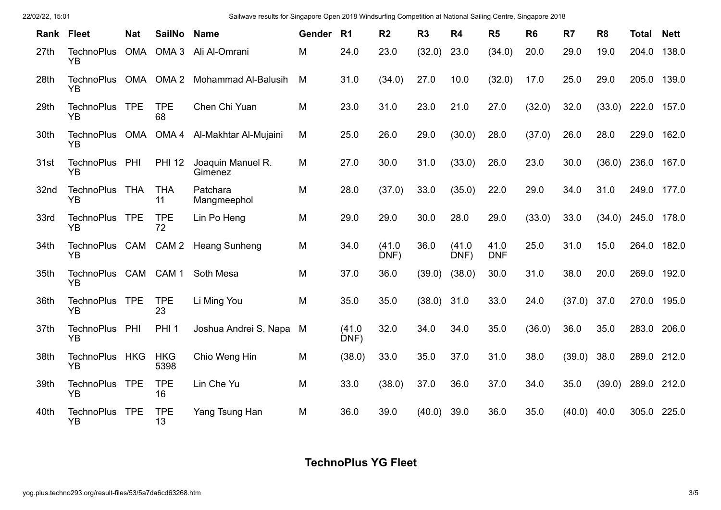| 22/02/22, 15:01 |  |
|-----------------|--|
|-----------------|--|

22/02/22, 15:01 Sailwave results for Singapore Open 2018 Windsurfing Competition at National Sailing Centre, Singapore 2018

| Rank | <b>Fleet</b>                   | <b>Nat</b> | <b>SailNo</b>      | <b>Name</b>                  | <b>Gender</b> | R1             | R <sub>2</sub> | R3            | R <sub>4</sub> | R <sub>5</sub>     | R <sub>6</sub> | R <sub>7</sub> | R <sub>8</sub> | Total | <b>Nett</b> |
|------|--------------------------------|------------|--------------------|------------------------------|---------------|----------------|----------------|---------------|----------------|--------------------|----------------|----------------|----------------|-------|-------------|
| 27th | <b>TechnoPlus</b><br><b>YB</b> | OMA        | OMA <sub>3</sub>   | Ali Al-Omrani                | M             | 24.0           | 23.0           | (32.0)        | 23.0           | (34.0)             | 20.0           | 29.0           | 19.0           | 204.0 | 138.0       |
| 28th | <b>TechnoPlus</b><br><b>YB</b> | OMA        | OMA <sub>2</sub>   | <b>Mohammad Al-Balusih</b>   | M             | 31.0           | (34.0)         | 27.0          | 10.0           | (32.0)             | 17.0           | 25.0           | 29.0           |       | 205.0 139.0 |
| 29th | <b>TechnoPlus</b><br><b>YB</b> | <b>TPE</b> | <b>TPE</b><br>68   | Chen Chi Yuan                | M             | 23.0           | 31.0           | 23.0          | 21.0           | 27.0               | (32.0)         | 32.0           | (33.0)         |       | 222.0 157.0 |
| 30th | <b>TechnoPlus</b><br>YB        | OMA        | OMA <sub>4</sub>   | Al-Makhtar Al-Mujaini        | M             | 25.0           | 26.0           | 29.0          | (30.0)         | 28.0               | (37.0)         | 26.0           | 28.0           | 229.0 | 162.0       |
| 31st | <b>TechnoPlus</b><br><b>YB</b> | PHI        | <b>PHI 12</b>      | Joaquin Manuel R.<br>Gimenez | M             | 27.0           | 30.0           | 31.0          | (33.0)         | 26.0               | 23.0           | 30.0           | (36.0)         | 236.0 | 167.0       |
| 32nd | <b>TechnoPlus</b><br><b>YB</b> | <b>THA</b> | <b>THA</b><br>11   | Patchara<br>Mangmeephol      | M             | 28.0           | (37.0)         | 33.0          | (35.0)         | 22.0               | 29.0           | 34.0           | 31.0           | 249.0 | 177.0       |
| 33rd | <b>TechnoPlus</b><br><b>YB</b> | <b>TPE</b> | <b>TPE</b><br>72   | Lin Po Heng                  | M             | 29.0           | 29.0           | 30.0          | 28.0           | 29.0               | (33.0)         | 33.0           | (34.0)         | 245.0 | 178.0       |
| 34th | <b>TechnoPlus</b><br><b>YB</b> | CAM        | CAM <sub>2</sub>   | <b>Heang Sunheng</b>         | M             | 34.0           | (41.0)<br>DNF) | 36.0          | (41.0)<br>DNF) | 41.0<br><b>DNF</b> | 25.0           | 31.0           | 15.0           | 264.0 | 182.0       |
| 35th | <b>TechnoPlus</b><br>YB        | CAM        | CAM <sub>1</sub>   | Soth Mesa                    | M             | 37.0           | 36.0           | (39.0)        | (38.0)         | 30.0               | 31.0           | 38.0           | 20.0           |       | 269.0 192.0 |
| 36th | <b>TechnoPlus</b><br><b>YB</b> | <b>TPE</b> | <b>TPE</b><br>23   | Li Ming You                  | M             | 35.0           | 35.0           | $(38.0)$ 31.0 |                | 33.0               | 24.0           | (37.0)         | 37.0           |       | 270.0 195.0 |
| 37th | <b>TechnoPlus</b><br><b>YB</b> | PHI        | PHI <sub>1</sub>   | Joshua Andrei S. Napa        | M             | (41.0)<br>DNF) | 32.0           | 34.0          | 34.0           | 35.0               | (36.0)         | 36.0           | 35.0           | 283.0 | 206.0       |
| 38th | <b>TechnoPlus</b><br>YB        | <b>HKG</b> | <b>HKG</b><br>5398 | Chio Weng Hin                | M             | (38.0)         | 33.0           | 35.0          | 37.0           | 31.0               | 38.0           | (39.0)         | 38.0           | 289.0 | 212.0       |
| 39th | <b>TechnoPlus</b><br><b>YB</b> | <b>TPE</b> | <b>TPE</b><br>16   | Lin Che Yu                   | M             | 33.0           | (38.0)         | 37.0          | 36.0           | 37.0               | 34.0           | 35.0           | (39.0)         | 289.0 | 212.0       |
| 40th | <b>TechnoPlus</b><br><b>YB</b> | <b>TPE</b> | <b>TPE</b><br>13   | Yang Tsung Han               | M             | 36.0           | 39.0           | (40.0)        | 39.0           | 36.0               | 35.0           | (40.0)         | 40.0           | 305.0 | 225.0       |

**TechnoPlus YG Fleet**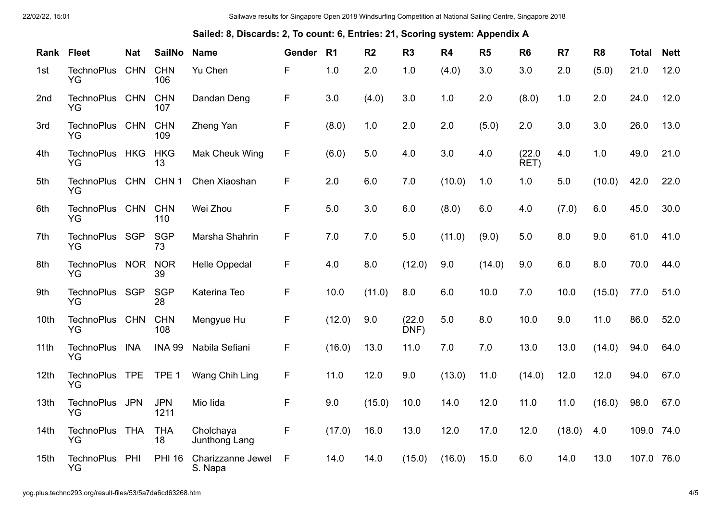**Sailed: 8, Discards: 2, To count: 6, Entries: 21, Scoring system: Appendix A**

| Rank Fleet       |                                | <b>Nat</b> | <b>SailNo</b>      | <b>Name</b>                  | <b>Gender</b> | R1     | R <sub>2</sub> | R <sub>3</sub> | <b>R4</b> | R <sub>5</sub> | R <sub>6</sub> | R <sub>7</sub> | R <sub>8</sub> | <b>Total</b> | <b>Nett</b> |
|------------------|--------------------------------|------------|--------------------|------------------------------|---------------|--------|----------------|----------------|-----------|----------------|----------------|----------------|----------------|--------------|-------------|
| 1st              | <b>TechnoPlus</b><br>YG        | <b>CHN</b> | <b>CHN</b><br>106  | Yu Chen                      | F             | 1.0    | 2.0            | 1.0            | (4.0)     | 3.0            | 3.0            | 2.0            | (5.0)          | 21.0         | 12.0        |
| 2nd              | <b>TechnoPlus</b><br><b>YG</b> | <b>CHN</b> | <b>CHN</b><br>107  | Dandan Deng                  | F             | 3.0    | (4.0)          | 3.0            | 1.0       | 2.0            | (8.0)          | 1.0            | 2.0            | 24.0         | 12.0        |
| 3rd              | <b>TechnoPlus</b><br>YG        | <b>CHN</b> | <b>CHN</b><br>109  | Zheng Yan                    | F             | (8.0)  | 1.0            | 2.0            | 2.0       | (5.0)          | 2.0            | 3.0            | 3.0            | 26.0         | 13.0        |
| 4th              | <b>TechnoPlus</b><br><b>YG</b> | <b>HKG</b> | <b>HKG</b><br>13   | Mak Cheuk Wing               | F             | (6.0)  | 5.0            | 4.0            | 3.0       | 4.0            | (22.0)<br>RET) | 4.0            | 1.0            | 49.0         | 21.0        |
| 5th              | <b>TechnoPlus</b><br>YG        | <b>CHN</b> | CHN <sub>1</sub>   | Chen Xiaoshan                | F             | 2.0    | 6.0            | 7.0            | (10.0)    | 1.0            | 1.0            | 5.0            | (10.0)         | 42.0         | 22.0        |
| 6th              | <b>TechnoPlus</b><br>YG        | <b>CHN</b> | <b>CHN</b><br>110  | Wei Zhou                     | F             | 5.0    | 3.0            | 6.0            | (8.0)     | 6.0            | 4.0            | (7.0)          | 6.0            | 45.0         | 30.0        |
| 7th              | TechnoPlus SGP<br>YG           |            | <b>SGP</b><br>73   | Marsha Shahrin               | F             | 7.0    | 7.0            | 5.0            | (11.0)    | (9.0)          | 5.0            | 8.0            | 9.0            | 61.0         | 41.0        |
| 8th              | <b>TechnoPlus</b><br><b>YG</b> | <b>NOR</b> | <b>NOR</b><br>39   | <b>Helle Oppedal</b>         | F             | 4.0    | 8.0            | (12.0)         | 9.0       | (14.0)         | 9.0            | 6.0            | 8.0            | 70.0         | 44.0        |
| 9th              | <b>TechnoPlus</b><br>YG        | <b>SGP</b> | <b>SGP</b><br>28   | Katerina Teo                 | F             | 10.0   | (11.0)         | 8.0            | 6.0       | 10.0           | 7.0            | 10.0           | (15.0)         | 77.0         | 51.0        |
| 10th             | <b>TechnoPlus</b><br>YG        | <b>CHN</b> | <b>CHN</b><br>108  | Mengyue Hu                   | F             | (12.0) | 9.0            | (22.0)<br>DNF) | 5.0       | 8.0            | 10.0           | 9.0            | 11.0           | 86.0         | 52.0        |
| 11th             | <b>TechnoPlus</b><br>YG        | <b>INA</b> | <b>INA 99</b>      | Nabila Sefiani               | F             | (16.0) | 13.0           | 11.0           | 7.0       | 7.0            | 13.0           | 13.0           | (14.0)         | 94.0         | 64.0        |
| 12th             | <b>TechnoPlus</b><br>YG        | <b>TPE</b> | TPE <sub>1</sub>   | Wang Chih Ling               | F             | 11.0   | 12.0           | 9.0            | (13.0)    | 11.0           | (14.0)         | 12.0           | 12.0           | 94.0         | 67.0        |
| 13th             | <b>TechnoPlus</b><br>YG        | <b>JPN</b> | <b>JPN</b><br>1211 | Mio lida                     | F             | 9.0    | (15.0)         | 10.0           | 14.0      | 12.0           | 11.0           | 11.0           | (16.0)         | 98.0         | 67.0        |
| 14 <sub>th</sub> | <b>TechnoPlus</b><br>YG        | <b>THA</b> | <b>THA</b><br>18   | Cholchaya<br>Junthong Lang   | F             | (17.0) | 16.0           | 13.0           | 12.0      | 17.0           | 12.0           | (18.0)         | 4.0            | 109.0        | 74.0        |
| 15th             | <b>TechnoPlus</b><br>YG        | PHI        | <b>PHI 16</b>      | Charizzanne Jewel<br>S. Napa | F             | 14.0   | 14.0           | (15.0)         | (16.0)    | 15.0           | 6.0            | 14.0           | 13.0           | 107.0        | 76.0        |